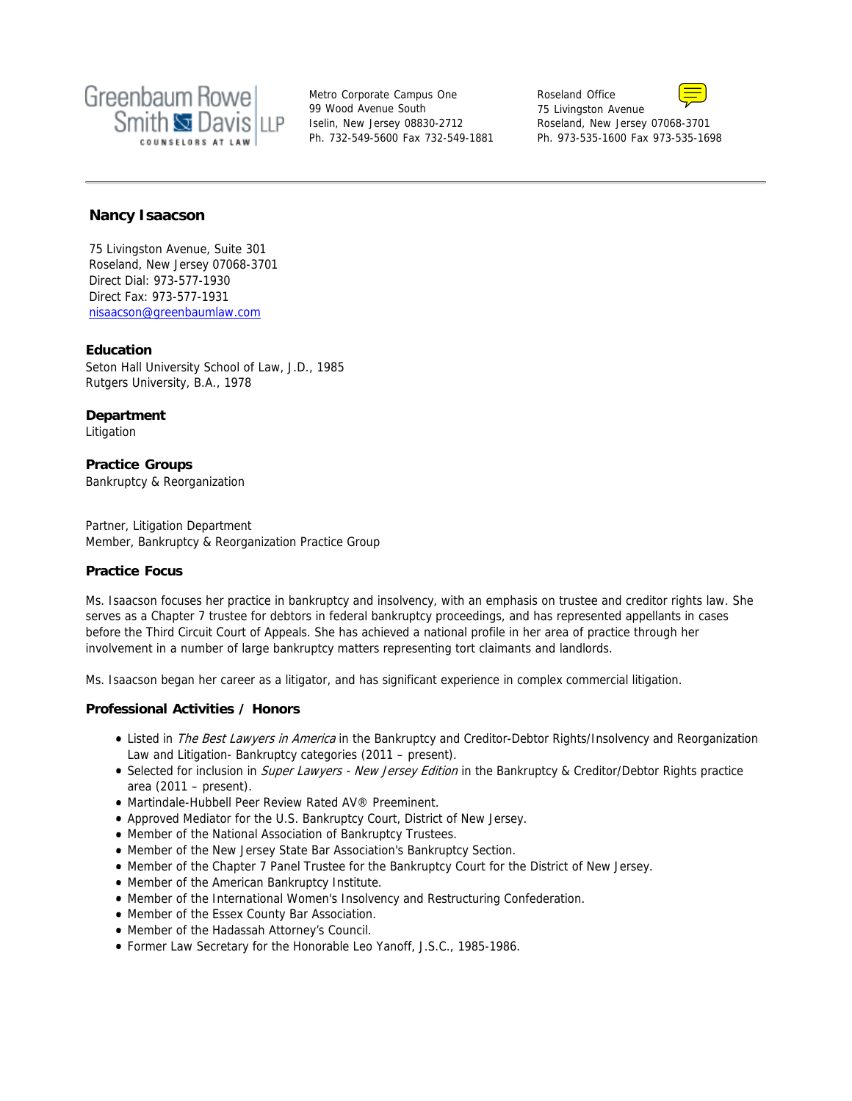

Metro Corporate Campus One 99 Wood Avenue South Iselin, New Jersey 08830-2712 Ph. 732-549-5600 Fax 732-549-1881 Roseland Office 75 Livingston Avenue Roseland, New Jersey 07068-3701



Ph. 973-535-1600 Fax 973-535-1698

# **Nancy Isaacson**

75 Livingston Avenue, Suite 301 Roseland, New Jersey 07068-3701 Direct Dial: 973-577-1930 Direct Fax: 973-577-1931 nisaacson@greenbaumlaw.com

### **Education**

Seton Hall University School of Law, J.D., 1985 Rutgers University, B.A., 1978

**Department** Litigation

**Practice Groups** Bankruptcy & Reorganization

Partner, Litigation Department Member, Bankruptcy & Reorganization Practice Group

### **Practice Focus**

Ms. Isaacson focuses her practice in bankruptcy and insolvency, with an emphasis on trustee and creditor rights law. She serves as a Chapter 7 trustee for debtors in federal bankruptcy proceedings, and has represented appellants in cases before the Third Circuit Court of Appeals. She has achieved a national profile in her area of practice through her involvement in a number of large bankruptcy matters representing tort claimants and landlords.

Ms. Isaacson began her career as a litigator, and has significant experience in complex commercial litigation.

### **Professional Activities / Honors**

- Listed in The Best Lawyers in America in the Bankruptcy and Creditor-Debtor Rights/Insolvency and Reorganization Law and Litigation- Bankruptcy categories (2011 – present).
- Selected for inclusion in Super Lawyers New Jersey Edition in the Bankruptcy & Creditor/Debtor Rights practice area (2011 – present).
- Martindale-Hubbell Peer Review Rated AV® Preeminent.
- Approved Mediator for the U.S. Bankruptcy Court, District of New Jersey.
- Member of the National Association of Bankruptcy Trustees.
- Member of the New Jersey State Bar Association's Bankruptcy Section.
- **Member of the Chapter 7 Panel Trustee for the Bankruptcy Court for the District of New Jersey.**
- Member of the American Bankruptcy Institute.
- Member of the International Women's Insolvency and Restructuring Confederation.
- Member of the Essex County Bar Association.
- Member of the Hadassah Attorney's Council.
- Former Law Secretary for the Honorable Leo Yanoff, J.S.C., 1985-1986.